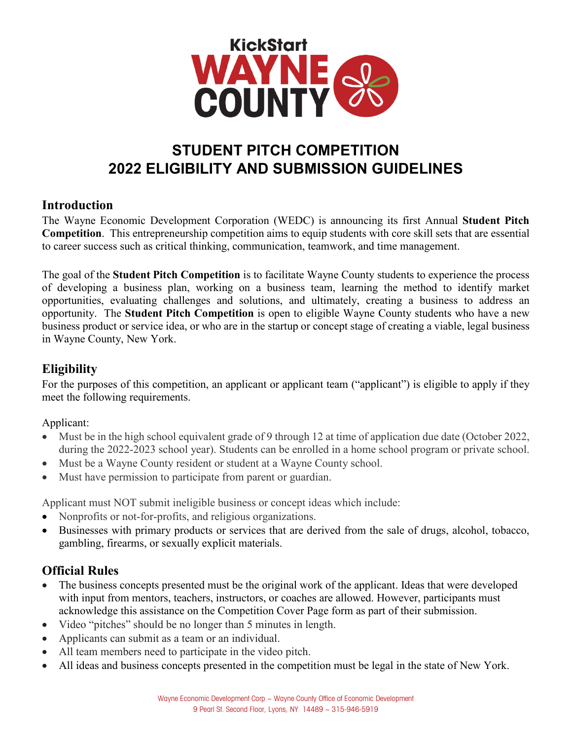

# **STUDENT PITCH COMPETITION 2022 ELIGIBILITY AND SUBMISSION GUIDELINES**

## **Introduction**

The Wayne Economic Development Corporation (WEDC) is announcing its first Annual **Student Pitch Competition**. This entrepreneurship competition aims to equip students with core skill sets that are essential to career success such as critical thinking, communication, teamwork, and time management.

The goal of the **Student Pitch Competition** is to facilitate Wayne County students to experience the process of developing a business plan, working on a business team, learning the method to identify market opportunities, evaluating challenges and solutions, and ultimately, creating a business to address an opportunity. The **Student Pitch Competition** is open to eligible Wayne County students who have a new business product or service idea, or who are in the startup or concept stage of creating a viable, legal business in Wayne County, New York.

## **Eligibility**

For the purposes of this competition, an applicant or applicant team ("applicant") is eligible to apply if they meet the following requirements.

Applicant:

- Must be in the high school equivalent grade of 9 through 12 at time of application due date (October 2022, during the 2022-2023 school year). Students can be enrolled in a home school program or private school.
- Must be a Wayne County resident or student at a Wayne County school.
- Must have permission to participate from parent or guardian.

Applicant must NOT submit ineligible business or concept ideas which include:

- Nonprofits or not-for-profits, and religious organizations.
- Businesses with primary products or services that are derived from the sale of drugs, alcohol, tobacco, gambling, firearms, or sexually explicit materials.

## **Official Rules**

- The business concepts presented must be the original work of the applicant. Ideas that were developed with input from mentors, teachers, instructors, or coaches are allowed. However, participants must acknowledge this assistance on the Competition Cover Page form as part of their submission.
- Video "pitches" should be no longer than 5 minutes in length.
- Applicants can submit as a team or an individual.
- All team members need to participate in the video pitch.
- All ideas and business concepts presented in the competition must be legal in the state of New York.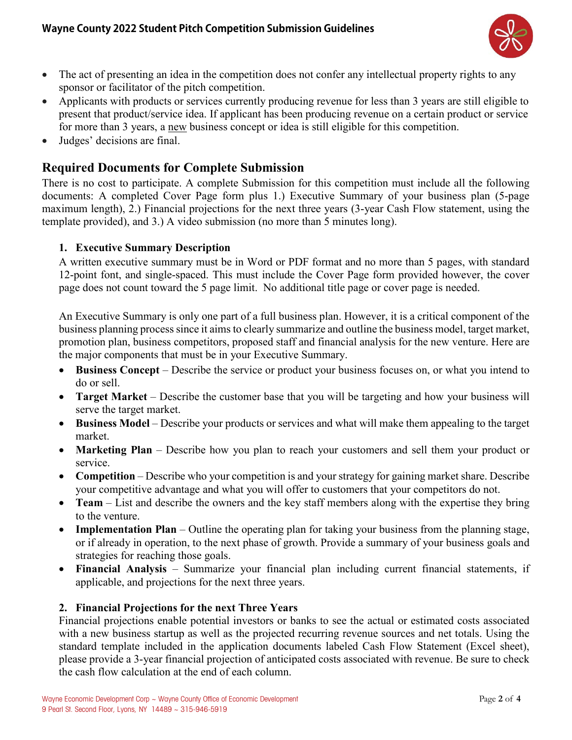

- The act of presenting an idea in the competition does not confer any intellectual property rights to any sponsor or facilitator of the pitch competition.
- Applicants with products or services currently producing revenue for less than 3 years are still eligible to present that product/service idea. If applicant has been producing revenue on a certain product or service for more than 3 years, a new business concept or idea is still eligible for this competition.
- Judges' decisions are final.

## **Required Documents for Complete Submission**

There is no cost to participate. A complete Submission for this competition must include all the following documents: A completed Cover Page form plus 1.) Executive Summary of your business plan (5-page maximum length), 2.) Financial projections for the next three years (3-year Cash Flow statement, using the template provided), and 3.) A video submission (no more than 5 minutes long).

#### **1. Executive Summary Description**

A written executive summary must be in Word or PDF format and no more than 5 pages, with standard 12-point font, and single-spaced. This must include the Cover Page form provided however, the cover page does not count toward the 5 page limit. No additional title page or cover page is needed.

An Executive Summary is only one part of a full business plan. However, it is a critical component of the business planning process since it aims to clearly summarize and outline the business model, target market, promotion plan, business competitors, proposed staff and financial analysis for the new venture. Here are the major components that must be in your Executive Summary.

- **Business Concept**  Describe the service or product your business focuses on, or what you intend to do or sell.
- **Target Market** Describe the customer base that you will be targeting and how your business will serve the target market.
- **Business Model** Describe your products or services and what will make them appealing to the target market.
- **Marketing Plan** Describe how you plan to reach your customers and sell them your product or service.
- **Competition** Describe who your competition is and your strategy for gaining market share. Describe your competitive advantage and what you will offer to customers that your competitors do not.
- **Team**  List and describe the owners and the key staff members along with the expertise they bring to the venture.
- **Implementation Plan** Outline the operating plan for taking your business from the planning stage, or if already in operation, to the next phase of growth. Provide a summary of your business goals and strategies for reaching those goals.
- **Financial Analysis** Summarize your financial plan including current financial statements, if applicable, and projections for the next three years.

#### **2. Financial Projections for the next Three Years**

Financial projections enable potential investors or banks to see the actual or estimated costs associated with a new business startup as well as the projected recurring revenue sources and net totals. Using the standard template included in the application documents labeled Cash Flow Statement (Excel sheet), please provide a 3-year financial projection of anticipated costs associated with revenue. Be sure to check the cash flow calculation at the end of each column.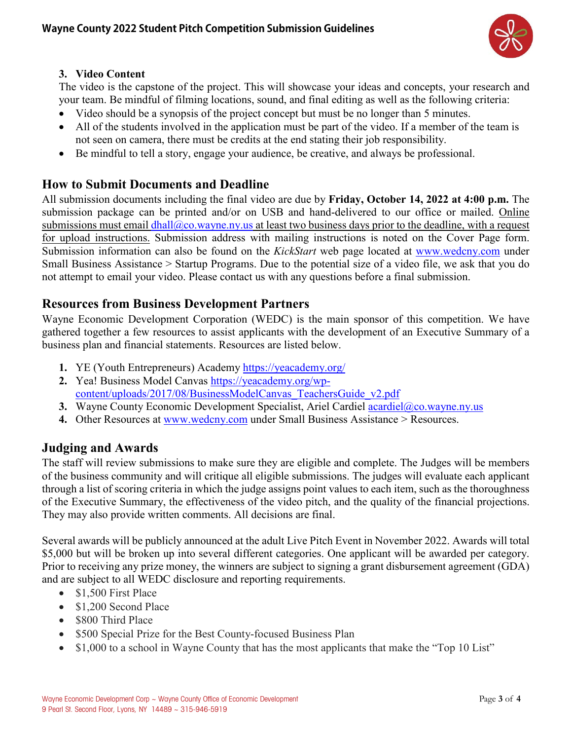

#### **3. Video Content**

The video is the capstone of the project. This will showcase your ideas and concepts, your research and your team. Be mindful of filming locations, sound, and final editing as well as the following criteria:

- Video should be a synopsis of the project concept but must be no longer than 5 minutes.
- All of the students involved in the application must be part of the video. If a member of the team is not seen on camera, there must be credits at the end stating their job responsibility.
- Be mindful to tell a story, engage your audience, be creative, and always be professional.

## **How to Submit Documents and Deadline**

All submission documents including the final video are due by **Friday, October 14, 2022 at 4:00 p.m.** The submission package can be printed and/or on USB and hand-delivered to our office or mailed. Online submissions must email  $dhall@co.wayne.py.us$  at least two business days prior to the deadline, with a request for upload instructions. Submission address with mailing instructions is noted on the Cover Page form. Submission information can also be found on the *KickStart* web page located at [www.wedcny.com](http://www.wedcny.com/) under Small Business Assistance > Startup Programs. Due to the potential size of a video file, we ask that you do not attempt to email your video. Please contact us with any questions before a final submission.

## **Resources from Business Development Partners**

Wayne Economic Development Corporation (WEDC) is the main sponsor of this competition. We have gathered together a few resources to assist applicants with the development of an Executive Summary of a business plan and financial statements. Resources are listed below.

- **1.** YE (Youth Entrepreneurs) Academy<https://yeacademy.org/>
- **2.** Yea! Business Model Canvas [https://yeacademy.org/wp](https://yeacademy.org/wp-content/uploads/2017/08/BusinessModelCanvas_TeachersGuide_v2.pdf)[content/uploads/2017/08/BusinessModelCanvas\\_TeachersGuide\\_v2.pdf](https://yeacademy.org/wp-content/uploads/2017/08/BusinessModelCanvas_TeachersGuide_v2.pdf)
- **3.** Wayne County Economic Development Specialist, Ariel Cardiel [acardiel@co.wayne.ny.us](mailto:acardiel@co.wayne.ny.us)
- **4.** Other Resources at [www.wedcny.com](http://www.wedcny.com/) under Small Business Assistance > Resources.

## **Judging and Awards**

The staff will review submissions to make sure they are eligible and complete. The Judges will be members of the business community and will critique all eligible submissions. The judges will evaluate each applicant through a list of scoring criteria in which the judge assigns point values to each item, such as the thoroughness of the Executive Summary, the effectiveness of the video pitch, and the quality of the financial projections. They may also provide written comments. All decisions are final.

Several awards will be publicly announced at the adult Live Pitch Event in November 2022. Awards will total \$5,000 but will be broken up into several different categories. One applicant will be awarded per category. Prior to receiving any prize money, the winners are subject to signing a grant disbursement agreement (GDA) and are subject to all WEDC disclosure and reporting requirements.

- \$1,500 First Place
- \$1,200 Second Place
- \$800 Third Place
- \$500 Special Prize for the Best County-focused Business Plan
- \$1,000 to a school in Wayne County that has the most applicants that make the "Top 10 List"